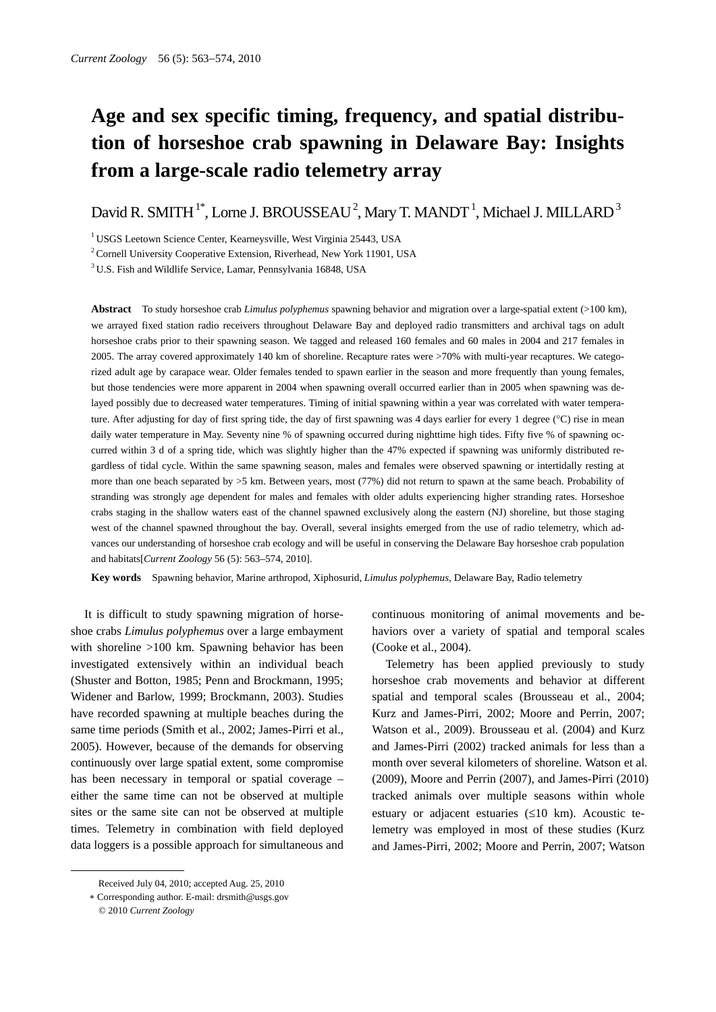# **Age and sex specific timing, frequency, and spatial distribution of horseshoe crab spawning in Delaware Bay: Insights from a large-scale radio telemetry array**

David R. SMITH<sup>1\*</sup>, Lorne J. BROUSSEAU<sup>2</sup>, Mary T. MANDT<sup>1</sup>, Michael J. MILLARD<sup>3</sup>

<sup>1</sup> USGS Leetown Science Center, Kearneysville, West Virginia 25443, USA

<sup>2</sup> Cornell University Cooperative Extension, Riverhead, New York 11901, USA

3 U.S. Fish and Wildlife Service, Lamar, Pennsylvania 16848, USA

**Abstract** To study horseshoe crab *Limulus polyphemus* spawning behavior and migration over a large-spatial extent (>100 km), we arrayed fixed station radio receivers throughout Delaware Bay and deployed radio transmitters and archival tags on adult horseshoe crabs prior to their spawning season. We tagged and released 160 females and 60 males in 2004 and 217 females in 2005. The array covered approximately 140 km of shoreline. Recapture rates were >70% with multi-year recaptures. We categorized adult age by carapace wear. Older females tended to spawn earlier in the season and more frequently than young females, but those tendencies were more apparent in 2004 when spawning overall occurred earlier than in 2005 when spawning was delayed possibly due to decreased water temperatures. Timing of initial spawning within a year was correlated with water temperature. After adjusting for day of first spring tide, the day of first spawning was 4 days earlier for every 1 degree (°C) rise in mean daily water temperature in May. Seventy nine % of spawning occurred during nighttime high tides. Fifty five % of spawning occurred within 3 d of a spring tide, which was slightly higher than the 47% expected if spawning was uniformly distributed regardless of tidal cycle. Within the same spawning season, males and females were observed spawning or intertidally resting at more than one beach separated by >5 km. Between years, most (77%) did not return to spawn at the same beach. Probability of stranding was strongly age dependent for males and females with older adults experiencing higher stranding rates. Horseshoe crabs staging in the shallow waters east of the channel spawned exclusively along the eastern (NJ) shoreline, but those staging west of the channel spawned throughout the bay. Overall, several insights emerged from the use of radio telemetry, which advances our understanding of horseshoe crab ecology and will be useful in conserving the Delaware Bay horseshoe crab population and habitats[*Current Zoology* 56 (5): 563–574, 2010].

**Key words** Spawning behavior, Marine arthropod, Xiphosurid, *Limulus polyphemus*, Delaware Bay, Radio telemetry

It is difficult to study spawning migration of horseshoe crabs *Limulus polyphemus* over a large embayment with shoreline >100 km. Spawning behavior has been investigated extensively within an individual beach (Shuster and Botton, 1985; Penn and Brockmann, 1995; Widener and Barlow, 1999; Brockmann, 2003). Studies have recorded spawning at multiple beaches during the same time periods (Smith et al., 2002; James-Pirri et al., 2005). However, because of the demands for observing continuously over large spatial extent, some compromise has been necessary in temporal or spatial coverage – either the same time can not be observed at multiple sites or the same site can not be observed at multiple times. Telemetry in combination with field deployed data loggers is a possible approach for simultaneous and

 $\overline{a}$ 

continuous monitoring of animal movements and behaviors over a variety of spatial and temporal scales (Cooke et al., 2004).

Telemetry has been applied previously to study horseshoe crab movements and behavior at different spatial and temporal scales (Brousseau et al*.*, 2004; Kurz and James-Pirri, 2002; Moore and Perrin, 2007; Watson et al., 2009). Brousseau et al*.* (2004) and Kurz and James-Pirri (2002) tracked animals for less than a month over several kilometers of shoreline. Watson et al*.* (2009), Moore and Perrin (2007), and James-Pirri (2010) tracked animals over multiple seasons within whole estuary or adjacent estuaries (≤10 km). Acoustic telemetry was employed in most of these studies (Kurz and James-Pirri, 2002; Moore and Perrin, 2007; Watson

Received July 04, 2010; accepted Aug. 25, 2010

<sup>∗</sup> Corresponding author. E-mail: drsmith@usgs.gov

<sup>© 2010</sup> *Current Zoology*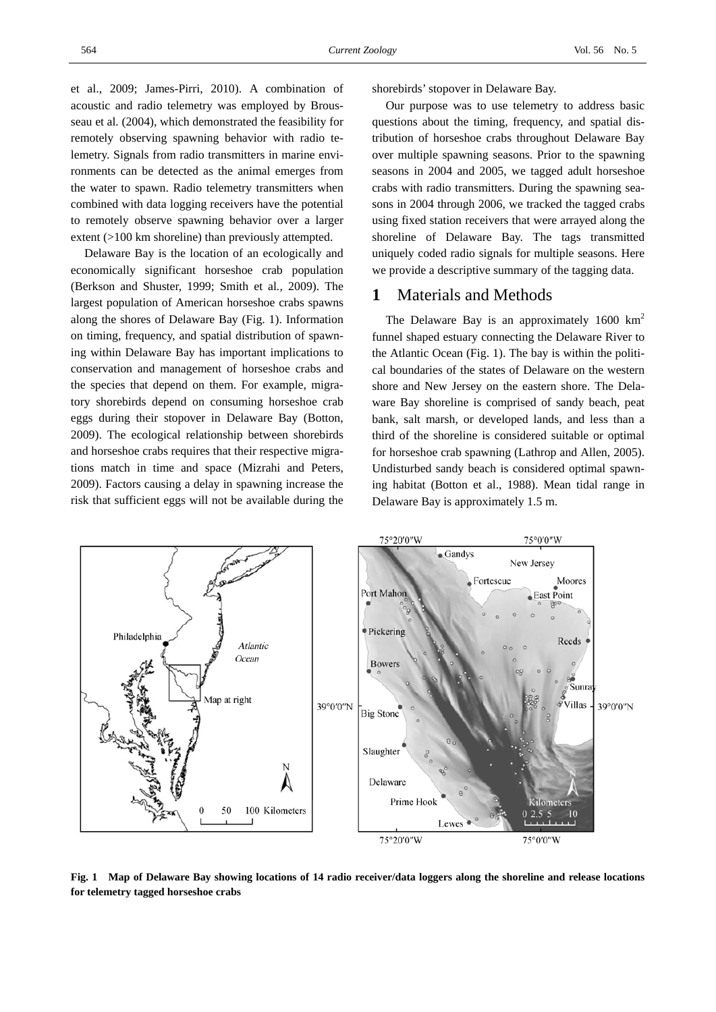et al., 2009; James-Pirri, 2010). A combination of acoustic and radio telemetry was employed by Brousseau et al*.* (2004), which demonstrated the feasibility for remotely observing spawning behavior with radio telemetry. Signals from radio transmitters in marine environments can be detected as the animal emerges from the water to spawn. Radio telemetry transmitters when combined with data logging receivers have the potential to remotely observe spawning behavior over a larger extent (>100 km shoreline) than previously attempted.

Delaware Bay is the location of an ecologically and economically significant horseshoe crab population (Berkson and Shuster, 1999; Smith et al*.,* 2009). The largest population of American horseshoe crabs spawns along the shores of Delaware Bay (Fig. 1). Information on timing, frequency, and spatial distribution of spawning within Delaware Bay has important implications to conservation and management of horseshoe crabs and the species that depend on them. For example, migratory shorebirds depend on consuming horseshoe crab eggs during their stopover in Delaware Bay (Botton, 2009). The ecological relationship between shorebirds and horseshoe crabs requires that their respective migrations match in time and space (Mizrahi and Peters, 2009). Factors causing a delay in spawning increase the risk that sufficient eggs will not be available during the

shorebirds' stopover in Delaware Bay.

Our purpose was to use telemetry to address basic questions about the timing, frequency, and spatial distribution of horseshoe crabs throughout Delaware Bay over multiple spawning seasons. Prior to the spawning seasons in 2004 and 2005, we tagged adult horseshoe crabs with radio transmitters. During the spawning seasons in 2004 through 2006, we tracked the tagged crabs using fixed station receivers that were arrayed along the shoreline of Delaware Bay. The tags transmitted uniquely coded radio signals for multiple seasons. Here we provide a descriptive summary of the tagging data.

## **1** Materials and Methods

The Delaware Bay is an approximately 1600 km<sup>2</sup> funnel shaped estuary connecting the Delaware River to the Atlantic Ocean (Fig. 1). The bay is within the political boundaries of the states of Delaware on the western shore and New Jersey on the eastern shore. The Delaware Bay shoreline is comprised of sandy beach, peat bank, salt marsh, or developed lands, and less than a third of the shoreline is considered suitable or optimal for horseshoe crab spawning (Lathrop and Allen, 2005). Undisturbed sandy beach is considered optimal spawning habitat (Botton et al., 1988). Mean tidal range in Delaware Bay is approximately 1.5 m.



**Fig. 1 Map of Delaware Bay showing locations of 14 radio receiver/data loggers along the shoreline and release locations for telemetry tagged horseshoe crabs**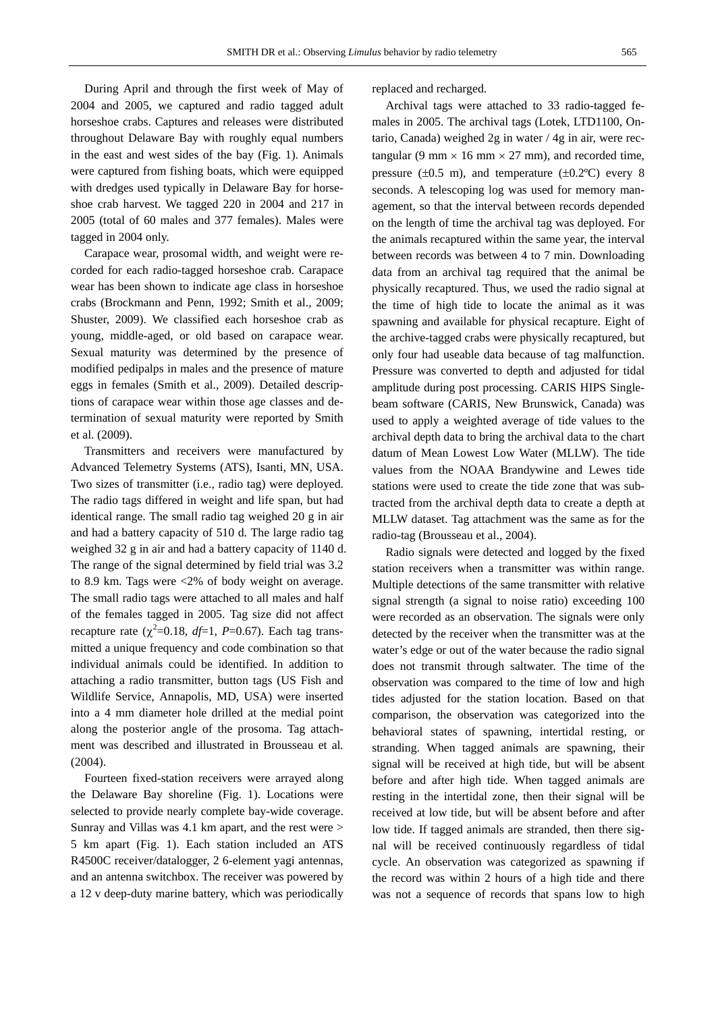During April and through the first week of May of 2004 and 2005, we captured and radio tagged adult horseshoe crabs. Captures and releases were distributed throughout Delaware Bay with roughly equal numbers in the east and west sides of the bay (Fig. 1). Animals were captured from fishing boats, which were equipped with dredges used typically in Delaware Bay for horseshoe crab harvest. We tagged 220 in 2004 and 217 in 2005 (total of 60 males and 377 females). Males were tagged in 2004 only.

Carapace wear, prosomal width, and weight were recorded for each radio-tagged horseshoe crab. Carapace wear has been shown to indicate age class in horseshoe crabs (Brockmann and Penn, 1992; Smith et al.*,* 2009; Shuster, 2009). We classified each horseshoe crab as young, middle-aged, or old based on carapace wear. Sexual maturity was determined by the presence of modified pedipalps in males and the presence of mature eggs in females (Smith et al.*,* 2009). Detailed descriptions of carapace wear within those age classes and determination of sexual maturity were reported by Smith et al. (2009).

Transmitters and receivers were manufactured by Advanced Telemetry Systems (ATS), Isanti, MN, USA. Two sizes of transmitter (i.e., radio tag) were deployed. The radio tags differed in weight and life span, but had identical range. The small radio tag weighed 20 g in air and had a battery capacity of 510 d. The large radio tag weighed 32 g in air and had a battery capacity of 1140 d. The range of the signal determined by field trial was 3.2 to 8.9 km. Tags were <2% of body weight on average. The small radio tags were attached to all males and half of the females tagged in 2005. Tag size did not affect recapture rate  $(\chi^2=0.18, df=1, P=0.67)$ . Each tag transmitted a unique frequency and code combination so that individual animals could be identified. In addition to attaching a radio transmitter, button tags (US Fish and Wildlife Service, Annapolis, MD, USA) were inserted into a 4 mm diameter hole drilled at the medial point along the posterior angle of the prosoma. Tag attachment was described and illustrated in Brousseau et al*.* (2004).

Fourteen fixed-station receivers were arrayed along the Delaware Bay shoreline (Fig. 1). Locations were selected to provide nearly complete bay-wide coverage. Sunray and Villas was 4.1 km apart, and the rest were > 5 km apart (Fig. 1). Each station included an ATS R4500C receiver/datalogger, 2 6-element yagi antennas, and an antenna switchbox. The receiver was powered by a 12 v deep-duty marine battery, which was periodically replaced and recharged.

Archival tags were attached to 33 radio-tagged females in 2005. The archival tags (Lotek, LTD1100, Ontario, Canada) weighed 2g in water / 4g in air, were rectangular (9 mm  $\times$  16 mm  $\times$  27 mm), and recorded time, pressure  $(\pm 0.5 \text{ m})$ , and temperature  $(\pm 0.2^{\circ}\text{C})$  every 8 seconds. A telescoping log was used for memory management, so that the interval between records depended on the length of time the archival tag was deployed. For the animals recaptured within the same year, the interval between records was between 4 to 7 min. Downloading data from an archival tag required that the animal be physically recaptured. Thus, we used the radio signal at the time of high tide to locate the animal as it was spawning and available for physical recapture. Eight of the archive-tagged crabs were physically recaptured, but only four had useable data because of tag malfunction. Pressure was converted to depth and adjusted for tidal amplitude during post processing. CARIS HIPS Singlebeam software (CARIS, New Brunswick, Canada) was used to apply a weighted average of tide values to the archival depth data to bring the archival data to the chart datum of Mean Lowest Low Water (MLLW). The tide values from the NOAA Brandywine and Lewes tide stations were used to create the tide zone that was subtracted from the archival depth data to create a depth at MLLW dataset. Tag attachment was the same as for the radio-tag (Brousseau et al., 2004).

Radio signals were detected and logged by the fixed station receivers when a transmitter was within range. Multiple detections of the same transmitter with relative signal strength (a signal to noise ratio) exceeding 100 were recorded as an observation. The signals were only detected by the receiver when the transmitter was at the water's edge or out of the water because the radio signal does not transmit through saltwater. The time of the observation was compared to the time of low and high tides adjusted for the station location. Based on that comparison, the observation was categorized into the behavioral states of spawning, intertidal resting, or stranding. When tagged animals are spawning, their signal will be received at high tide, but will be absent before and after high tide. When tagged animals are resting in the intertidal zone, then their signal will be received at low tide, but will be absent before and after low tide. If tagged animals are stranded, then there signal will be received continuously regardless of tidal cycle. An observation was categorized as spawning if the record was within 2 hours of a high tide and there was not a sequence of records that spans low to high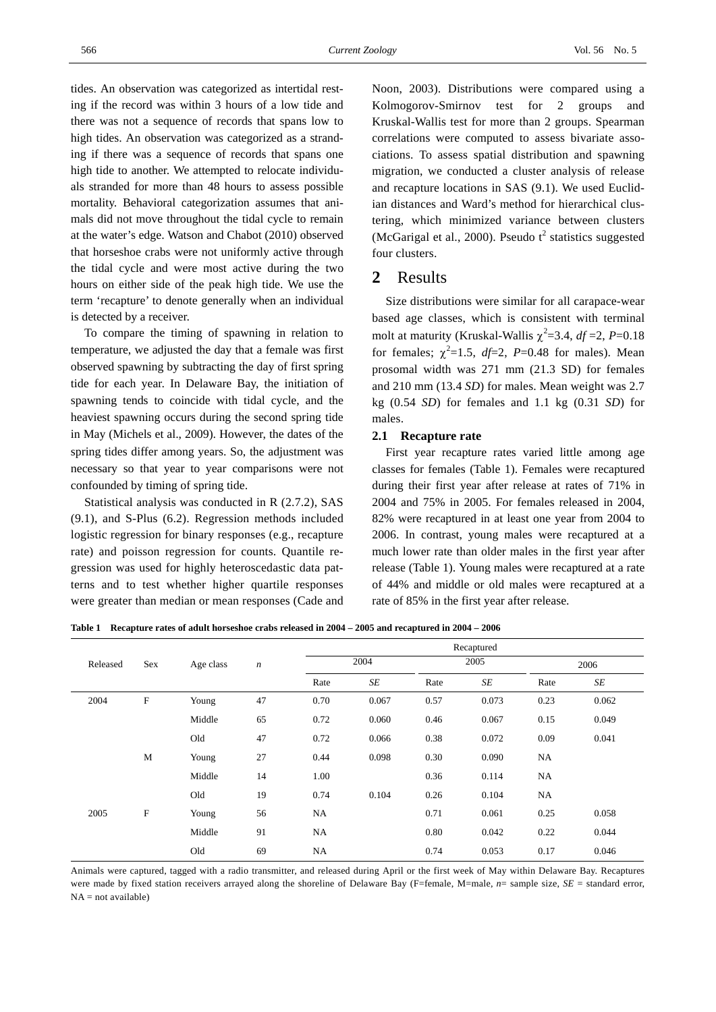tides. An observation was categorized as intertidal resting if the record was within 3 hours of a low tide and there was not a sequence of records that spans low to high tides. An observation was categorized as a stranding if there was a sequence of records that spans one high tide to another. We attempted to relocate individuals stranded for more than 48 hours to assess possible mortality. Behavioral categorization assumes that animals did not move throughout the tidal cycle to remain at the water's edge. Watson and Chabot (2010) observed that horseshoe crabs were not uniformly active through the tidal cycle and were most active during the two hours on either side of the peak high tide. We use the term 'recapture' to denote generally when an individual is detected by a receiver.

To compare the timing of spawning in relation to temperature, we adjusted the day that a female was first observed spawning by subtracting the day of first spring tide for each year. In Delaware Bay, the initiation of spawning tends to coincide with tidal cycle, and the heaviest spawning occurs during the second spring tide in May (Michels et al., 2009). However, the dates of the spring tides differ among years. So, the adjustment was necessary so that year to year comparisons were not confounded by timing of spring tide.

Statistical analysis was conducted in R (2.7.2), SAS (9.1), and S-Plus (6.2). Regression methods included logistic regression for binary responses (e.g., recapture rate) and poisson regression for counts. Quantile regression was used for highly heteroscedastic data patterns and to test whether higher quartile responses were greater than median or mean responses (Cade and Noon, 2003). Distributions were compared using a Kolmogorov-Smirnov test for 2 groups and Kruskal-Wallis test for more than 2 groups. Spearman correlations were computed to assess bivariate associations. To assess spatial distribution and spawning migration, we conducted a cluster analysis of release and recapture locations in SAS (9.1). We used Euclidian distances and Ward's method for hierarchical clustering, which minimized variance between clusters (McGarigal et al., 2000). Pseudo  $t^2$  statistics suggested four clusters.

## **2** Results

Size distributions were similar for all carapace-wear based age classes, which is consistent with terminal molt at maturity (Kruskal-Wallis  $\chi^2$ =3.4, *df* =2, *P*=0.18 for females;  $\chi^2 = 1.5$ ,  $df = 2$ ,  $P = 0.48$  for males). Mean prosomal width was 271 mm (21.3 SD) for females and 210 mm (13.4 *SD*) for males. Mean weight was 2.7 kg (0.54 *SD*) for females and 1.1 kg (0.31 *SD*) for males.

#### **2.1 Recapture rate**

First year recapture rates varied little among age classes for females (Table 1). Females were recaptured during their first year after release at rates of 71% in 2004 and 75% in 2005. For females released in 2004, 82% were recaptured in at least one year from 2004 to 2006. In contrast, young males were recaptured at a much lower rate than older males in the first year after release (Table 1). Young males were recaptured at a rate of 44% and middle or old males were recaptured at a rate of 85% in the first year after release.

**Table 1 Recapture rates of adult horseshoe crabs released in 2004 – 2005 and recaptured in 2004 – 2006** 

|          | Sex                       | Age class | $\boldsymbol{n}$ | Recaptured |           |      |       |      |       |
|----------|---------------------------|-----------|------------------|------------|-----------|------|-------|------|-------|
| Released |                           |           |                  | 2004       |           | 2005 |       | 2006 |       |
|          |                           |           |                  | Rate       | $\cal SE$ | Rate | SE    | Rate | SE    |
| 2004     | $\mathbf F$               | Young     | 47               | 0.70       | 0.067     | 0.57 | 0.073 | 0.23 | 0.062 |
|          |                           | Middle    | 65               | 0.72       | 0.060     | 0.46 | 0.067 | 0.15 | 0.049 |
|          |                           | Old       | 47               | 0.72       | 0.066     | 0.38 | 0.072 | 0.09 | 0.041 |
|          | M                         | Young     | 27               | 0.44       | 0.098     | 0.30 | 0.090 | NA   |       |
|          |                           | Middle    | 14               | 1.00       |           | 0.36 | 0.114 | NA   |       |
|          |                           | Old       | 19               | 0.74       | 0.104     | 0.26 | 0.104 | NA   |       |
| 2005     | $\boldsymbol{\mathrm{F}}$ | Young     | 56               | NA.        |           | 0.71 | 0.061 | 0.25 | 0.058 |
|          |                           | Middle    | 91               | NA         |           | 0.80 | 0.042 | 0.22 | 0.044 |
|          |                           | Old       | 69               | NA         |           | 0.74 | 0.053 | 0.17 | 0.046 |

Animals were captured, tagged with a radio transmitter, and released during April or the first week of May within Delaware Bay. Recaptures were made by fixed station receivers arrayed along the shoreline of Delaware Bay (F=female, M=male, *n*= sample size, *SE* = standard error,  $NA = not available$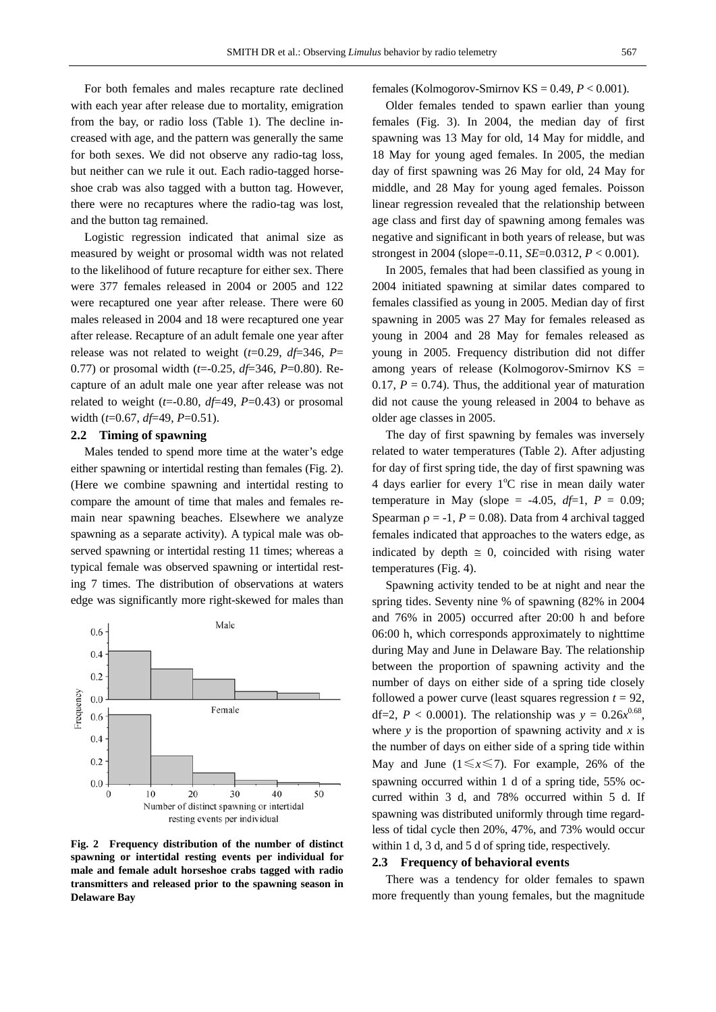For both females and males recapture rate declined with each year after release due to mortality, emigration from the bay, or radio loss (Table 1). The decline increased with age, and the pattern was generally the same for both sexes. We did not observe any radio-tag loss, but neither can we rule it out. Each radio-tagged horseshoe crab was also tagged with a button tag. However, there were no recaptures where the radio-tag was lost, and the button tag remained.

Logistic regression indicated that animal size as measured by weight or prosomal width was not related to the likelihood of future recapture for either sex. There were 377 females released in 2004 or 2005 and 122 were recaptured one year after release. There were 60 males released in 2004 and 18 were recaptured one year after release. Recapture of an adult female one year after release was not related to weight (*t*=0.29, *df*=346, *P*= 0.77) or prosomal width (*t*=-0.25, *df*=346, *P*=0.80). Recapture of an adult male one year after release was not related to weight  $(t=0.80, df=49, P=0.43)$  or prosomal width (*t*=0.67, *df*=49, *P*=0.51).

#### **2.2 Timing of spawning**

Males tended to spend more time at the water's edge either spawning or intertidal resting than females (Fig. 2). (Here we combine spawning and intertidal resting to compare the amount of time that males and females remain near spawning beaches. Elsewhere we analyze spawning as a separate activity). A typical male was observed spawning or intertidal resting 11 times; whereas a typical female was observed spawning or intertidal resting 7 times. The distribution of observations at waters edge was significantly more right-skewed for males than



**Fig. 2 Frequency distribution of the number of distinct spawning or intertidal resting events per individual for male and female adult horseshoe crabs tagged with radio transmitters and released prior to the spawning season in Delaware Bay** 

females (Kolmogorov-Smirnov KS =  $0.49$ ,  $P < 0.001$ ).

Older females tended to spawn earlier than young females (Fig. 3). In 2004, the median day of first spawning was 13 May for old, 14 May for middle, and 18 May for young aged females. In 2005, the median day of first spawning was 26 May for old, 24 May for middle, and 28 May for young aged females. Poisson linear regression revealed that the relationship between age class and first day of spawning among females was negative and significant in both years of release, but was strongest in 2004 (slope=-0.11, *SE*=0.0312, *P* < 0.001).

In 2005, females that had been classified as young in 2004 initiated spawning at similar dates compared to females classified as young in 2005. Median day of first spawning in 2005 was 27 May for females released as young in 2004 and 28 May for females released as young in 2005. Frequency distribution did not differ among years of release (Kolmogorov-Smirnov KS = 0.17,  $P = 0.74$ ). Thus, the additional year of maturation did not cause the young released in 2004 to behave as older age classes in 2005.

The day of first spawning by females was inversely related to water temperatures (Table 2). After adjusting for day of first spring tide, the day of first spawning was 4 days earlier for every 1°C rise in mean daily water temperature in May (slope = -4.05,  $df=1$ ,  $P = 0.09$ ; Spearman  $\rho = -1$ ,  $P = 0.08$ ). Data from 4 archival tagged females indicated that approaches to the waters edge, as indicated by depth  $\approx$  0, coincided with rising water temperatures (Fig. 4).

Spawning activity tended to be at night and near the spring tides. Seventy nine % of spawning (82% in 2004 and 76% in 2005) occurred after 20:00 h and before 06:00 h, which corresponds approximately to nighttime during May and June in Delaware Bay. The relationship between the proportion of spawning activity and the number of days on either side of a spring tide closely followed a power curve (least squares regression  $t = 92$ , df=2,  $P < 0.0001$ ). The relationship was  $y = 0.26x^{0.68}$ , where  $\nu$  is the proportion of spawning activity and  $\chi$  is the number of days on either side of a spring tide within May and June  $(1 \le x \le 7)$ . For example, 26% of the spawning occurred within 1 d of a spring tide, 55% occurred within 3 d, and 78% occurred within 5 d. If spawning was distributed uniformly through time regardless of tidal cycle then 20%, 47%, and 73% would occur within 1 d, 3 d, and 5 d of spring tide, respectively.

#### **2.3 Frequency of behavioral events**

There was a tendency for older females to spawn more frequently than young females, but the magnitude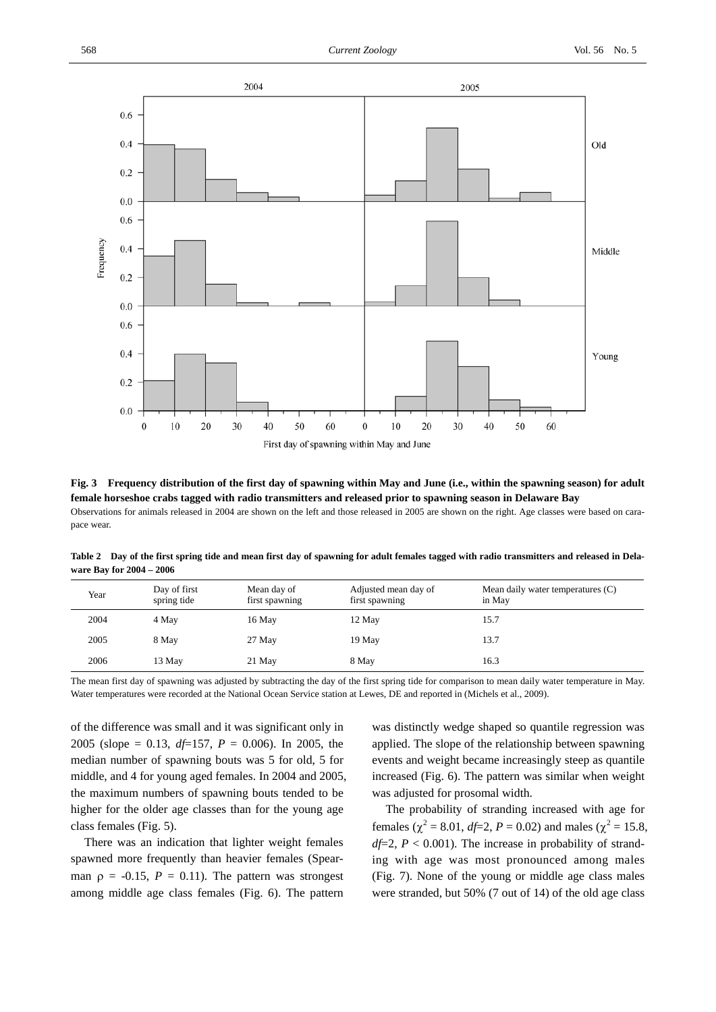

**Fig. 3 Frequency distribution of the first day of spawning within May and June (i.e., within the spawning season) for adult female horseshoe crabs tagged with radio transmitters and released prior to spawning season in Delaware Bay**  Observations for animals released in 2004 are shown on the left and those released in 2005 are shown on the right. Age classes were based on carapace wear.

**Table 2 Day of the first spring tide and mean first day of spawning for adult females tagged with radio transmitters and released in Delaware Bay for 2004 – 2006** 

| Year | Day of first<br>spring tide | Mean day of<br>first spawning | Adjusted mean day of<br>first spawning | Mean daily water temperatures (C)<br>in May |
|------|-----------------------------|-------------------------------|----------------------------------------|---------------------------------------------|
| 2004 | 4 May                       | 16 May                        | 12 May                                 | 15.7                                        |
| 2005 | 8 May                       | 27 May                        | 19 May                                 | 13.7                                        |
| 2006 | 13 May                      | 21 May                        | 8 May                                  | 16.3                                        |

The mean first day of spawning was adjusted by subtracting the day of the first spring tide for comparison to mean daily water temperature in May. Water temperatures were recorded at the National Ocean Service station at Lewes, DE and reported in (Michels et al.*,* 2009).

of the difference was small and it was significant only in 2005 (slope = 0.13, *df*=157, *P* = 0.006). In 2005, the median number of spawning bouts was 5 for old, 5 for middle, and 4 for young aged females. In 2004 and 2005, the maximum numbers of spawning bouts tended to be higher for the older age classes than for the young age class females (Fig. 5).

There was an indication that lighter weight females spawned more frequently than heavier females (Spearman  $\rho = -0.15$ ,  $P = 0.11$ ). The pattern was strongest among middle age class females (Fig. 6). The pattern

was distinctly wedge shaped so quantile regression was applied. The slope of the relationship between spawning events and weight became increasingly steep as quantile increased (Fig. 6). The pattern was similar when weight was adjusted for prosomal width.

The probability of stranding increased with age for females ( $\chi^2$  = 8.01, *df*=2, *P* = 0.02) and males ( $\chi^2$  = 15.8,  $df=2$ ,  $P < 0.001$ ). The increase in probability of stranding with age was most pronounced among males (Fig. 7). None of the young or middle age class males were stranded, but 50% (7 out of 14) of the old age class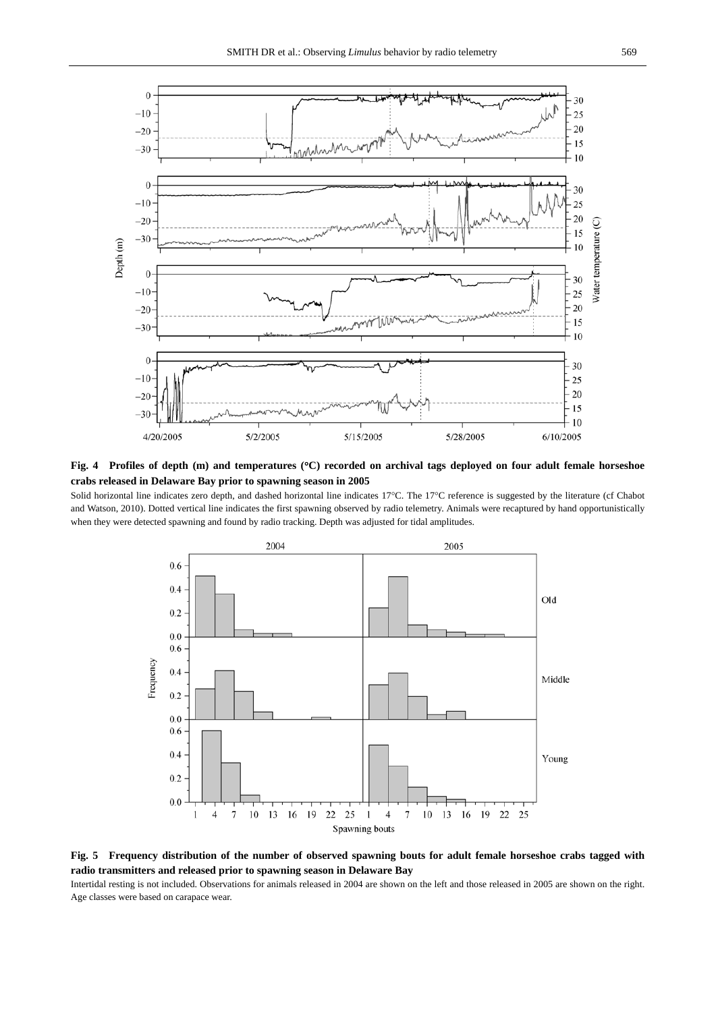

**Fig. 4 Profiles of depth (m) and temperatures (**°**C) recorded on archival tags deployed on four adult female horseshoe crabs released in Delaware Bay prior to spawning season in 2005** 

Solid horizontal line indicates zero depth, and dashed horizontal line indicates 17°C. The 17°C reference is suggested by the literature (cf Chabot and Watson, 2010). Dotted vertical line indicates the first spawning observed by radio telemetry. Animals were recaptured by hand opportunistically when they were detected spawning and found by radio tracking. Depth was adjusted for tidal amplitudes.



**Fig. 5 Frequency distribution of the number of observed spawning bouts for adult female horseshoe crabs tagged with radio transmitters and released prior to spawning season in Delaware Bay** 

Intertidal resting is not included. Observations for animals released in 2004 are shown on the left and those released in 2005 are shown on the right. Age classes were based on carapace wear.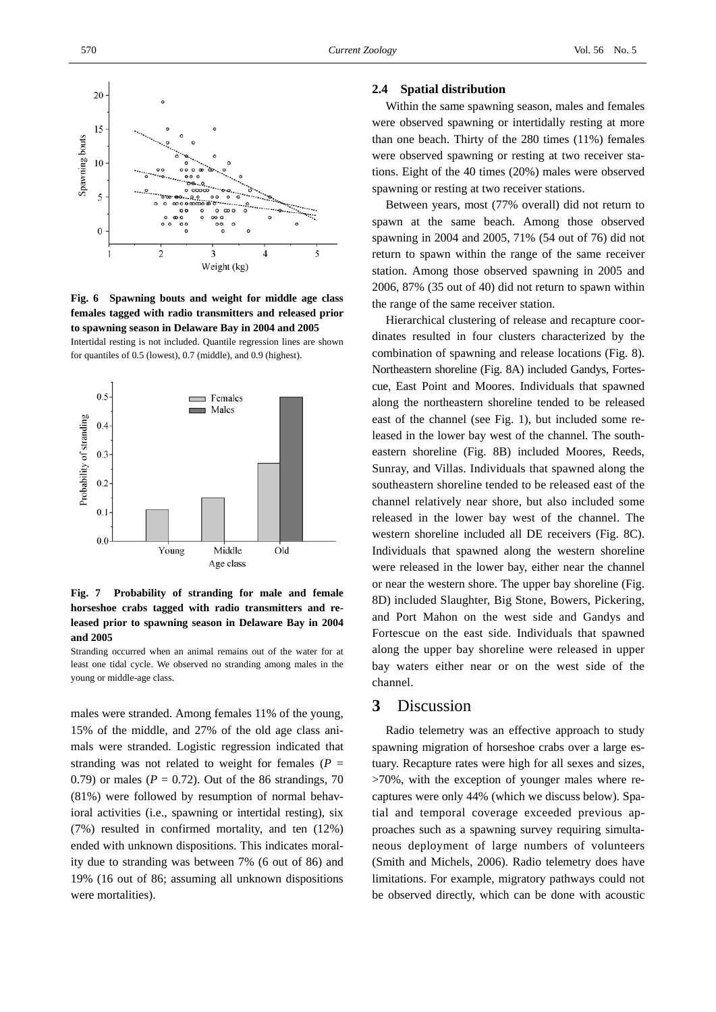

**Fig. 6 Spawning bouts and weight for middle age class females tagged with radio transmitters and released prior to spawning season in Delaware Bay in 2004 and 2005**  Intertidal resting is not included. Quantile regression lines are shown for quantiles of 0.5 (lowest), 0.7 (middle), and 0.9 (highest).



### **Fig. 7 Probability of stranding for male and female horseshoe crabs tagged with radio transmitters and released prior to spawning season in Delaware Bay in 2004 and 2005**

Stranding occurred when an animal remains out of the water for at least one tidal cycle. We observed no stranding among males in the young or middle-age class.

males were stranded. Among females 11% of the young, 15% of the middle, and 27% of the old age class animals were stranded. Logistic regression indicated that stranding was not related to weight for females ( $P =$ 0.79) or males ( $P = 0.72$ ). Out of the 86 strandings, 70 (81%) were followed by resumption of normal behavioral activities (i.e., spawning or intertidal resting), six (7%) resulted in confirmed mortality, and ten (12%) ended with unknown dispositions. This indicates morality due to stranding was between 7% (6 out of 86) and 19% (16 out of 86; assuming all unknown dispositions were mortalities).

#### **2.4 Spatial distribution**

Within the same spawning season, males and females were observed spawning or intertidally resting at more than one beach. Thirty of the 280 times (11%) females were observed spawning or resting at two receiver stations. Eight of the 40 times (20%) males were observed spawning or resting at two receiver stations.

Between years, most (77% overall) did not return to spawn at the same beach. Among those observed spawning in 2004 and 2005, 71% (54 out of 76) did not return to spawn within the range of the same receiver station. Among those observed spawning in 2005 and 2006, 87% (35 out of 40) did not return to spawn within the range of the same receiver station.

Hierarchical clustering of release and recapture coordinates resulted in four clusters characterized by the combination of spawning and release locations (Fig. 8). Northeastern shoreline (Fig. 8A) included Gandys, Fortescue, East Point and Moores. Individuals that spawned along the northeastern shoreline tended to be released east of the channel (see Fig. 1), but included some released in the lower bay west of the channel. The southeastern shoreline (Fig. 8B) included Moores, Reeds, Sunray, and Villas. Individuals that spawned along the southeastern shoreline tended to be released east of the channel relatively near shore, but also included some released in the lower bay west of the channel. The western shoreline included all DE receivers (Fig. 8C). Individuals that spawned along the western shoreline were released in the lower bay, either near the channel or near the western shore. The upper bay shoreline (Fig. 8D) included Slaughter, Big Stone, Bowers, Pickering, and Port Mahon on the west side and Gandys and Fortescue on the east side. Individuals that spawned along the upper bay shoreline were released in upper bay waters either near or on the west side of the channel.

# **3** Discussion

Radio telemetry was an effective approach to study spawning migration of horseshoe crabs over a large estuary. Recapture rates were high for all sexes and sizes, >70%, with the exception of younger males where recaptures were only 44% (which we discuss below). Spatial and temporal coverage exceeded previous approaches such as a spawning survey requiring simultaneous deployment of large numbers of volunteers (Smith and Michels, 2006). Radio telemetry does have limitations. For example, migratory pathways could not be observed directly, which can be done with acoustic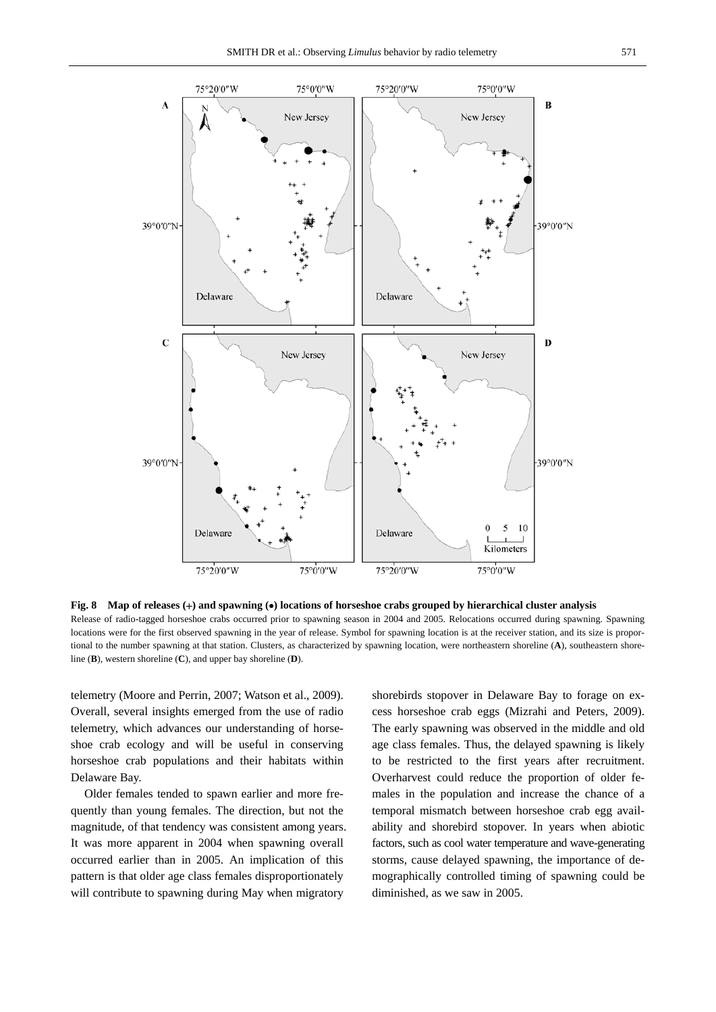

**Fig. 8 Map of releases (**+**) and spawning (**•**) locations of horseshoe crabs grouped by hierarchical cluster analysis**  Release of radio-tagged horseshoe crabs occurred prior to spawning season in 2004 and 2005. Relocations occurred during spawning. Spawning locations were for the first observed spawning in the year of release. Symbol for spawning location is at the receiver station, and its size is proportional to the number spawning at that station. Clusters, as characterized by spawning location, were northeastern shoreline (**A**), southeastern shoreline (**B**), western shoreline (**C**), and upper bay shoreline (**D**).

telemetry (Moore and Perrin, 2007; Watson et al., 2009). Overall, several insights emerged from the use of radio telemetry, which advances our understanding of horseshoe crab ecology and will be useful in conserving horseshoe crab populations and their habitats within Delaware Bay.

Older females tended to spawn earlier and more frequently than young females. The direction, but not the magnitude, of that tendency was consistent among years. It was more apparent in 2004 when spawning overall occurred earlier than in 2005. An implication of this pattern is that older age class females disproportionately will contribute to spawning during May when migratory

shorebirds stopover in Delaware Bay to forage on excess horseshoe crab eggs (Mizrahi and Peters, 2009). The early spawning was observed in the middle and old age class females. Thus, the delayed spawning is likely to be restricted to the first years after recruitment. Overharvest could reduce the proportion of older females in the population and increase the chance of a temporal mismatch between horseshoe crab egg availability and shorebird stopover. In years when abiotic factors, such as cool water temperature and wave-generating storms, cause delayed spawning, the importance of demographically controlled timing of spawning could be diminished, as we saw in 2005.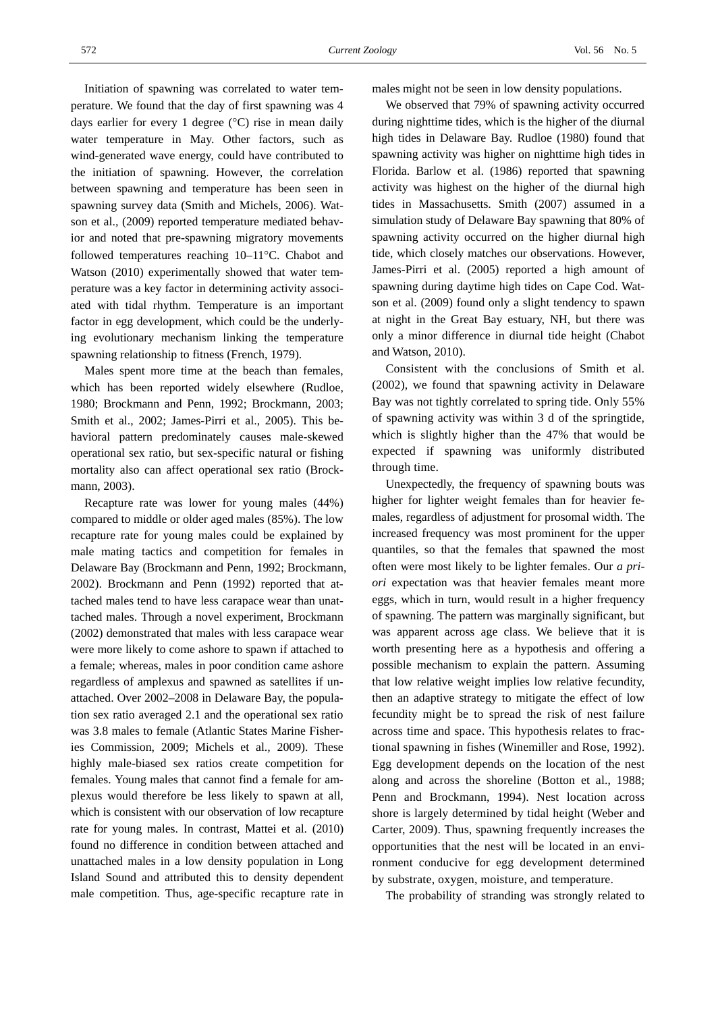Initiation of spawning was correlated to water temperature. We found that the day of first spawning was 4 days earlier for every 1 degree (°C) rise in mean daily water temperature in May. Other factors, such as wind-generated wave energy, could have contributed to the initiation of spawning. However, the correlation between spawning and temperature has been seen in spawning survey data (Smith and Michels, 2006). Watson et al.*,* (2009) reported temperature mediated behavior and noted that pre-spawning migratory movements followed temperatures reaching 10–11°C. Chabot and Watson (2010) experimentally showed that water temperature was a key factor in determining activity associated with tidal rhythm. Temperature is an important factor in egg development, which could be the underlying evolutionary mechanism linking the temperature spawning relationship to fitness (French, 1979).

Males spent more time at the beach than females, which has been reported widely elsewhere (Rudloe, 1980; Brockmann and Penn, 1992; Brockmann, 2003; Smith et al., 2002; James-Pirri et al., 2005). This behavioral pattern predominately causes male-skewed operational sex ratio, but sex-specific natural or fishing mortality also can affect operational sex ratio (Brockmann, 2003).

Recapture rate was lower for young males (44%) compared to middle or older aged males (85%). The low recapture rate for young males could be explained by male mating tactics and competition for females in Delaware Bay (Brockmann and Penn, 1992; Brockmann, 2002). Brockmann and Penn (1992) reported that attached males tend to have less carapace wear than unattached males. Through a novel experiment, Brockmann (2002) demonstrated that males with less carapace wear were more likely to come ashore to spawn if attached to a female; whereas, males in poor condition came ashore regardless of amplexus and spawned as satellites if unattached. Over 2002–2008 in Delaware Bay, the population sex ratio averaged 2.1 and the operational sex ratio was 3.8 males to female (Atlantic States Marine Fisheries Commission, 2009; Michels et al.*,* 2009). These highly male-biased sex ratios create competition for females. Young males that cannot find a female for amplexus would therefore be less likely to spawn at all, which is consistent with our observation of low recapture rate for young males. In contrast, Mattei et al. (2010) found no difference in condition between attached and unattached males in a low density population in Long Island Sound and attributed this to density dependent male competition. Thus, age-specific recapture rate in

males might not be seen in low density populations.

We observed that 79% of spawning activity occurred during nighttime tides, which is the higher of the diurnal high tides in Delaware Bay. Rudloe (1980) found that spawning activity was higher on nighttime high tides in Florida. Barlow et al. (1986) reported that spawning activity was highest on the higher of the diurnal high tides in Massachusetts. Smith (2007) assumed in a simulation study of Delaware Bay spawning that 80% of spawning activity occurred on the higher diurnal high tide, which closely matches our observations. However, James-Pirri et al. (2005) reported a high amount of spawning during daytime high tides on Cape Cod. Watson et al. (2009) found only a slight tendency to spawn at night in the Great Bay estuary, NH, but there was only a minor difference in diurnal tide height (Chabot and Watson, 2010).

Consistent with the conclusions of Smith et al. (2002), we found that spawning activity in Delaware Bay was not tightly correlated to spring tide. Only 55% of spawning activity was within 3 d of the springtide, which is slightly higher than the 47% that would be expected if spawning was uniformly distributed through time.

Unexpectedly, the frequency of spawning bouts was higher for lighter weight females than for heavier females, regardless of adjustment for prosomal width. The increased frequency was most prominent for the upper quantiles, so that the females that spawned the most often were most likely to be lighter females. Our *a priori* expectation was that heavier females meant more eggs, which in turn, would result in a higher frequency of spawning. The pattern was marginally significant, but was apparent across age class. We believe that it is worth presenting here as a hypothesis and offering a possible mechanism to explain the pattern. Assuming that low relative weight implies low relative fecundity, then an adaptive strategy to mitigate the effect of low fecundity might be to spread the risk of nest failure across time and space. This hypothesis relates to fractional spawning in fishes (Winemiller and Rose, 1992). Egg development depends on the location of the nest along and across the shoreline (Botton et al., 1988; Penn and Brockmann, 1994). Nest location across shore is largely determined by tidal height (Weber and Carter, 2009). Thus, spawning frequently increases the opportunities that the nest will be located in an environment conducive for egg development determined by substrate, oxygen, moisture, and temperature.

The probability of stranding was strongly related to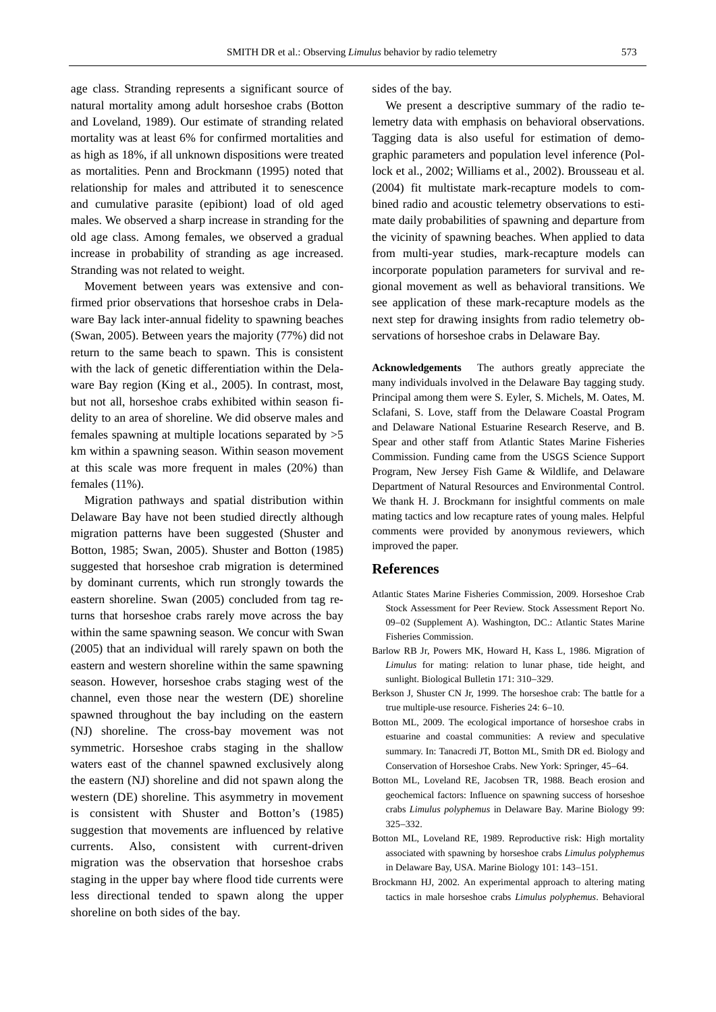age class. Stranding represents a significant source of natural mortality among adult horseshoe crabs (Botton and Loveland, 1989). Our estimate of stranding related mortality was at least 6% for confirmed mortalities and as high as 18%, if all unknown dispositions were treated as mortalities. Penn and Brockmann (1995) noted that relationship for males and attributed it to senescence and cumulative parasite (epibiont) load of old aged males. We observed a sharp increase in stranding for the old age class. Among females, we observed a gradual increase in probability of stranding as age increased. Stranding was not related to weight.

Movement between years was extensive and confirmed prior observations that horseshoe crabs in Delaware Bay lack inter-annual fidelity to spawning beaches (Swan, 2005). Between years the majority (77%) did not return to the same beach to spawn. This is consistent with the lack of genetic differentiation within the Delaware Bay region (King et al., 2005). In contrast, most, but not all, horseshoe crabs exhibited within season fidelity to an area of shoreline. We did observe males and females spawning at multiple locations separated by  $>5$ km within a spawning season. Within season movement at this scale was more frequent in males (20%) than females (11%).

Migration pathways and spatial distribution within Delaware Bay have not been studied directly although migration patterns have been suggested (Shuster and Botton, 1985; Swan, 2005). Shuster and Botton (1985) suggested that horseshoe crab migration is determined by dominant currents, which run strongly towards the eastern shoreline. Swan (2005) concluded from tag returns that horseshoe crabs rarely move across the bay within the same spawning season. We concur with Swan (2005) that an individual will rarely spawn on both the eastern and western shoreline within the same spawning season. However, horseshoe crabs staging west of the channel, even those near the western (DE) shoreline spawned throughout the bay including on the eastern (NJ) shoreline. The cross-bay movement was not symmetric. Horseshoe crabs staging in the shallow waters east of the channel spawned exclusively along the eastern (NJ) shoreline and did not spawn along the western (DE) shoreline. This asymmetry in movement is consistent with Shuster and Botton's (1985) suggestion that movements are influenced by relative currents. Also, consistent with current-driven migration was the observation that horseshoe crabs staging in the upper bay where flood tide currents were less directional tended to spawn along the upper shoreline on both sides of the bay.

sides of the bay.

We present a descriptive summary of the radio telemetry data with emphasis on behavioral observations. Tagging data is also useful for estimation of demographic parameters and population level inference (Pollock et al., 2002; Williams et al., 2002). Brousseau et al. (2004) fit multistate mark-recapture models to combined radio and acoustic telemetry observations to estimate daily probabilities of spawning and departure from the vicinity of spawning beaches. When applied to data from multi-year studies, mark-recapture models can incorporate population parameters for survival and regional movement as well as behavioral transitions. We see application of these mark-recapture models as the next step for drawing insights from radio telemetry observations of horseshoe crabs in Delaware Bay.

**Acknowledgements** The authors greatly appreciate the many individuals involved in the Delaware Bay tagging study. Principal among them were S. Eyler, S. Michels, M. Oates, M. Sclafani, S. Love, staff from the Delaware Coastal Program and Delaware National Estuarine Research Reserve, and B. Spear and other staff from Atlantic States Marine Fisheries Commission. Funding came from the USGS Science Support Program, New Jersey Fish Game & Wildlife, and Delaware Department of Natural Resources and Environmental Control. We thank H. J. Brockmann for insightful comments on male mating tactics and low recapture rates of young males. Helpful comments were provided by anonymous reviewers, which improved the paper.

#### **References**

- Atlantic States Marine Fisheries Commission, 2009. Horseshoe Crab Stock Assessment for Peer Review. Stock Assessment Report No. 09−02 (Supplement A). Washington, DC.: Atlantic States Marine Fisheries Commission.
- Barlow RB Jr, Powers MK, Howard H, Kass L, 1986. Migration of *Limulus* for mating: relation to lunar phase, tide height, and sunlight. Biological Bulletin 171: 310−329.
- Berkson J, Shuster CN Jr, 1999. The horseshoe crab: The battle for a true multiple-use resource. Fisheries 24: 6−10.
- Botton ML, 2009. The ecological importance of horseshoe crabs in estuarine and coastal communities: A review and speculative summary. In: Tanacredi JT, Botton ML, Smith DR ed. Biology and Conservation of Horseshoe Crabs. New York: Springer, 45−64.
- Botton ML, Loveland RE, Jacobsen TR, 1988. Beach erosion and geochemical factors: Influence on spawning success of horseshoe crabs *Limulus polyphemus* in Delaware Bay. Marine Biology 99: 325−332.
- Botton ML, Loveland RE, 1989. Reproductive risk: High mortality associated with spawning by horseshoe crabs *Limulus polyphemus* in Delaware Bay, USA. Marine Biology 101: 143−151.
- Brockmann HJ, 2002. An experimental approach to altering mating tactics in male horseshoe crabs *Limulus polyphemus*. Behavioral